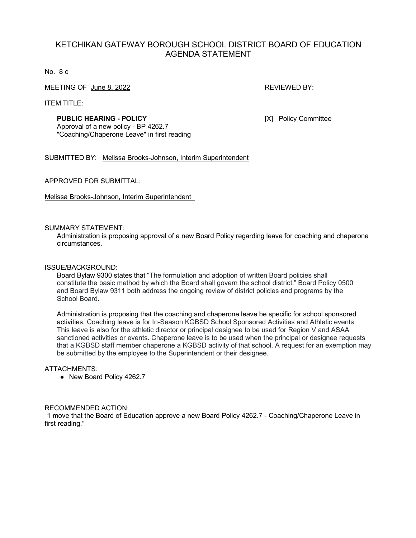# KETCHIKAN GATEWAY BOROUGH SCHOOL DISTRICT BOARD OF EDUCATION AGENDA STATEMENT

No. 8 c

MEETING OF June 8, 2022 **REVIEWED BY:** REVIEWED BY:

ITEM TITLE:

### **PUBLIC HEARING - POLICY** [X] Policy Committee

Approval of a new policy - BP 4262.7 "Coaching/Chaperone Leave" in first reading

SUBMITTED BY: Melissa Brooks-Johnson, Interim Superintendent

APPROVED FOR SUBMITTAL:

Melissa Brooks-Johnson, Interim Superintendent

SUMMARY STATEMENT:

Administration is proposing approval of a new Board Policy regarding leave for coaching and chaperone circumstances.

#### ISSUE/BACKGROUND:

Board Bylaw 9300 states that "The formulation and adoption of written Board policies shall constitute the basic method by which the Board shall govern the school district." Board Policy 0500 and Board Bylaw 9311 both address the ongoing review of district policies and programs by the School Board.

Administration is proposing that the coaching and chaperone leave be specific for school sponsored activities. Coaching leave is for In-Season KGBSD School Sponsored Activities and Athletic events. This leave is also for the athletic director or principal designee to be used for Region V and ASAA sanctioned activities or events. Chaperone leave is to be used when the principal or designee requests that a KGBSD staff member chaperone a KGBSD activity of that school. A request for an exemption may be submitted by the employee to the Superintendent or their designee.

#### ATTACHMENTS:

● New Board Policy 4262.7

## RECOMMENDED ACTION:

"I move that the Board of Education approve a new Board Policy 4262.7 - Coaching/Chaperone Leave in first reading."